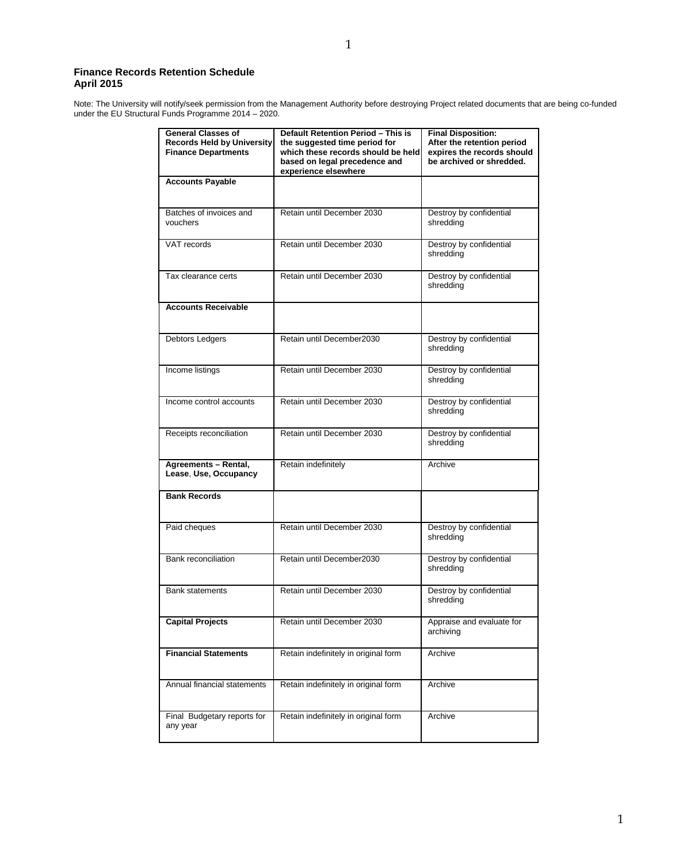## **Finance Records Retention Schedule April 2015**

Note: The University will notify/seek permission from the Management Authority before destroying Project related documents that are being co-funded under the EU Structural Funds Programme 2014 – 2020.

| <b>General Classes of</b><br><b>Records Held by University</b><br><b>Finance Departments</b> | Default Retention Period - This is<br>the suggested time period for<br>which these records should be held<br>based on legal precedence and<br>experience elsewhere | <b>Final Disposition:</b><br>After the retention period<br>expires the records should<br>be archived or shredded. |
|----------------------------------------------------------------------------------------------|--------------------------------------------------------------------------------------------------------------------------------------------------------------------|-------------------------------------------------------------------------------------------------------------------|
| <b>Accounts Payable</b>                                                                      |                                                                                                                                                                    |                                                                                                                   |
| Batches of invoices and<br>vouchers                                                          | Retain until December 2030                                                                                                                                         | Destroy by confidential<br>shredding                                                                              |
| VAT records                                                                                  | Retain until December 2030                                                                                                                                         | Destroy by confidential<br>shredding                                                                              |
| Tax clearance certs                                                                          | Retain until December 2030                                                                                                                                         | Destroy by confidential<br>shredding                                                                              |
| <b>Accounts Receivable</b>                                                                   |                                                                                                                                                                    |                                                                                                                   |
| Debtors Ledgers                                                                              | Retain until December2030                                                                                                                                          | Destroy by confidential<br>shredding                                                                              |
| Income listings                                                                              | Retain until December 2030                                                                                                                                         | Destroy by confidential<br>shredding                                                                              |
| Income control accounts                                                                      | Retain until December 2030                                                                                                                                         | Destroy by confidential<br>shredding                                                                              |
| Receipts reconciliation                                                                      | Retain until December 2030                                                                                                                                         | Destroy by confidential<br>shredding                                                                              |
| Agreements - Rental,<br>Lease, Use, Occupancy                                                | Retain indefinitely                                                                                                                                                | Archive                                                                                                           |
| <b>Bank Records</b>                                                                          |                                                                                                                                                                    |                                                                                                                   |
| Paid cheques                                                                                 | Retain until December 2030                                                                                                                                         | Destroy by confidential<br>shredding                                                                              |
| Bank reconciliation                                                                          | Retain until December2030                                                                                                                                          | Destroy by confidential<br>shredding                                                                              |
| <b>Bank statements</b>                                                                       | Retain until December 2030                                                                                                                                         | Destroy by confidential<br>shredding                                                                              |
| <b>Capital Projects</b>                                                                      | Retain until December 2030                                                                                                                                         | Appraise and evaluate for<br>archiving                                                                            |
| <b>Financial Statements</b>                                                                  | Retain indefinitely in original form                                                                                                                               | Archive                                                                                                           |
| Annual financial statements                                                                  | Retain indefinitely in original form                                                                                                                               | Archive                                                                                                           |
| Final Budgetary reports for<br>any year                                                      | Retain indefinitely in original form                                                                                                                               | Archive                                                                                                           |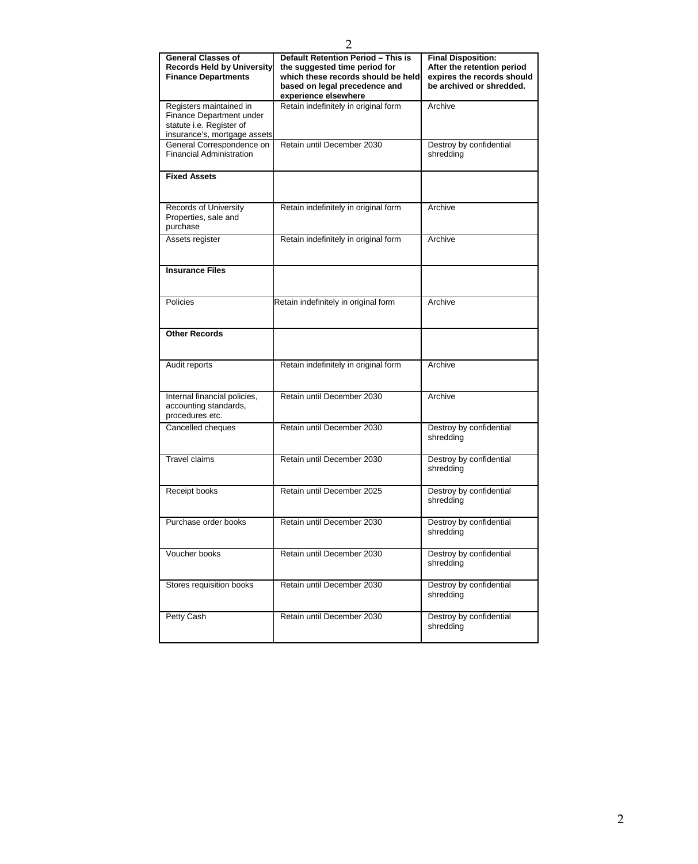| <b>General Classes of</b><br><b>Records Held by University</b><br><b>Finance Departments</b>                    | Default Retention Period - This is<br>the suggested time period for<br>which these records should be held<br>based on legal precedence and<br>experience elsewhere | <b>Final Disposition:</b><br>After the retention period<br>expires the records should<br>be archived or shredded. |
|-----------------------------------------------------------------------------------------------------------------|--------------------------------------------------------------------------------------------------------------------------------------------------------------------|-------------------------------------------------------------------------------------------------------------------|
| Registers maintained in<br>Finance Department under<br>statute i.e. Register of<br>insurance's, mortgage assets | Retain indefinitely in original form                                                                                                                               | Archive                                                                                                           |
| General Correspondence on<br><b>Financial Administration</b>                                                    | Retain until December 2030                                                                                                                                         | Destroy by confidential<br>shredding                                                                              |
| <b>Fixed Assets</b>                                                                                             |                                                                                                                                                                    |                                                                                                                   |
| Records of University<br>Properties, sale and<br>purchase                                                       | Retain indefinitely in original form                                                                                                                               | Archive                                                                                                           |
| Assets register                                                                                                 | Retain indefinitely in original form                                                                                                                               | Archive                                                                                                           |
| <b>Insurance Files</b>                                                                                          |                                                                                                                                                                    |                                                                                                                   |
| <b>Policies</b>                                                                                                 | Retain indefinitely in original form                                                                                                                               | Archive                                                                                                           |
| <b>Other Records</b>                                                                                            |                                                                                                                                                                    |                                                                                                                   |
| Audit reports                                                                                                   | Retain indefinitely in original form                                                                                                                               | Archive                                                                                                           |
| Internal financial policies,<br>accounting standards,<br>procedures etc.                                        | Retain until December 2030                                                                                                                                         | Archive                                                                                                           |
| Cancelled cheques                                                                                               | Retain until December 2030                                                                                                                                         | Destroy by confidential<br>shredding                                                                              |
| <b>Travel claims</b>                                                                                            | Retain until December 2030                                                                                                                                         | Destroy by confidential<br>shredding                                                                              |
| Receipt books                                                                                                   | Retain until December 2025                                                                                                                                         | Destroy by confidential<br>shredding                                                                              |
| Purchase order books                                                                                            | Retain until December 2030                                                                                                                                         | Destroy by confidential<br>shredding                                                                              |
| Voucher books                                                                                                   | Retain until December 2030                                                                                                                                         | Destroy by confidential<br>shredding                                                                              |
| Stores requisition books                                                                                        | Retain until December 2030                                                                                                                                         | Destroy by confidential<br>shredding                                                                              |
| Petty Cash                                                                                                      | Retain until December 2030                                                                                                                                         | Destroy by confidential<br>shredding                                                                              |